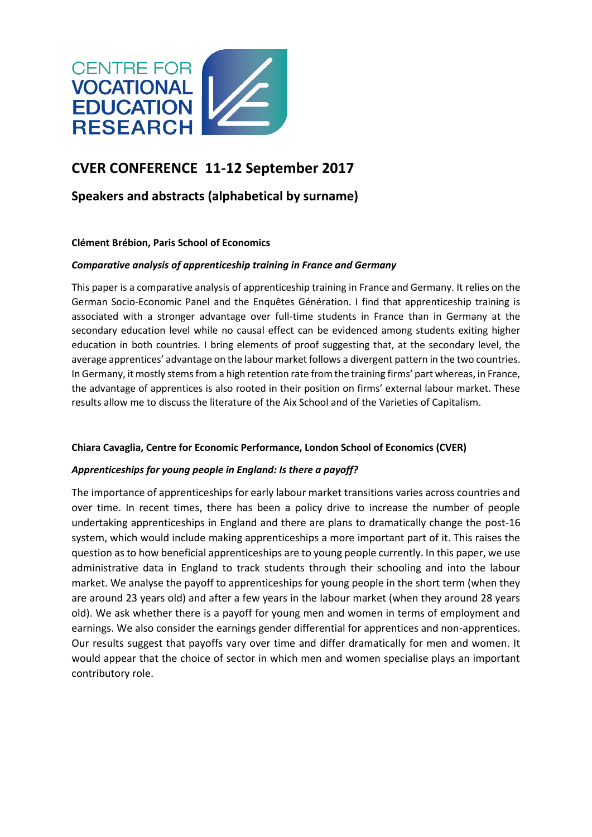

# **CVER CONFERENCE 11-12 September 2017**

## **Speakers and abstracts (alphabetical by surname)**

## **Clément Brébion, Paris School of Economics**

## *Comparative analysis of apprenticeship training in France and Germany*

This paper is a comparative analysis of apprenticeship training in France and Germany. It relies on the German Socio-Economic Panel and the Enquêtes Génération. I find that apprenticeship training is associated with a stronger advantage over full-time students in France than in Germany at the secondary education level while no causal effect can be evidenced among students exiting higher education in both countries. I bring elements of proof suggesting that, at the secondary level, the average apprentices' advantage on the labour market follows a divergent pattern in the two countries. In Germany, it mostly stems from a high retention rate from the training firms' part whereas, in France, the advantage of apprentices is also rooted in their position on firms' external labour market. These results allow me to discuss the literature of the Aix School and of the Varieties of Capitalism.

## **Chiara Cavaglia, Centre for Economic Performance, London School of Economics (CVER)**

## *Apprenticeships for young people in England: Is there a payoff?*

The importance of apprenticeships for early labour market transitions varies across countries and over time. In recent times, there has been a policy drive to increase the number of people undertaking apprenticeships in England and there are plans to dramatically change the post-16 system, which would include making apprenticeships a more important part of it. This raises the question as to how beneficial apprenticeships are to young people currently. In this paper, we use administrative data in England to track students through their schooling and into the labour market. We analyse the payoff to apprenticeships for young people in the short term (when they are around 23 years old) and after a few years in the labour market (when they around 28 years old). We ask whether there is a payoff for young men and women in terms of employment and earnings. We also consider the earnings gender differential for apprentices and non-apprentices. Our results suggest that payoffs vary over time and differ dramatically for men and women. It would appear that the choice of sector in which men and women specialise plays an important contributory role.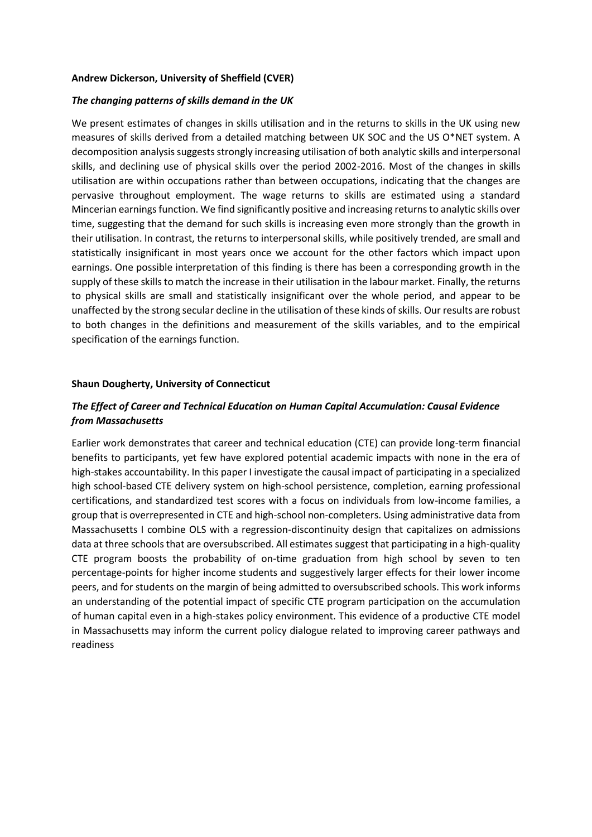#### **Andrew Dickerson, University of Sheffield (CVER)**

#### *The changing patterns of skills demand in the UK*

We present estimates of changes in skills utilisation and in the returns to skills in the UK using new measures of skills derived from a detailed matching between UK SOC and the US O\*NET system. A decomposition analysis suggests strongly increasing utilisation of both analytic skills and interpersonal skills, and declining use of physical skills over the period 2002-2016. Most of the changes in skills utilisation are within occupations rather than between occupations, indicating that the changes are pervasive throughout employment. The wage returns to skills are estimated using a standard Mincerian earnings function. We find significantly positive and increasing returns to analytic skills over time, suggesting that the demand for such skills is increasing even more strongly than the growth in their utilisation. In contrast, the returns to interpersonal skills, while positively trended, are small and statistically insignificant in most years once we account for the other factors which impact upon earnings. One possible interpretation of this finding is there has been a corresponding growth in the supply of these skills to match the increase in their utilisation in the labour market. Finally, the returns to physical skills are small and statistically insignificant over the whole period, and appear to be unaffected by the strong secular decline in the utilisation of these kinds of skills. Our results are robust to both changes in the definitions and measurement of the skills variables, and to the empirical specification of the earnings function.

#### **Shaun Dougherty, University of Connecticut**

## *The Effect of Career and Technical Education on Human Capital Accumulation: Causal Evidence from Massachusetts*

Earlier work demonstrates that career and technical education (CTE) can provide long-term financial benefits to participants, yet few have explored potential academic impacts with none in the era of high-stakes accountability. In this paper I investigate the causal impact of participating in a specialized high school-based CTE delivery system on high-school persistence, completion, earning professional certifications, and standardized test scores with a focus on individuals from low-income families, a group that is overrepresented in CTE and high-school non-completers. Using administrative data from Massachusetts I combine OLS with a regression-discontinuity design that capitalizes on admissions data at three schools that are oversubscribed. All estimates suggest that participating in a high-quality CTE program boosts the probability of on-time graduation from high school by seven to ten percentage-points for higher income students and suggestively larger effects for their lower income peers, and for students on the margin of being admitted to oversubscribed schools. This work informs an understanding of the potential impact of specific CTE program participation on the accumulation of human capital even in a high-stakes policy environment. This evidence of a productive CTE model in Massachusetts may inform the current policy dialogue related to improving career pathways and readiness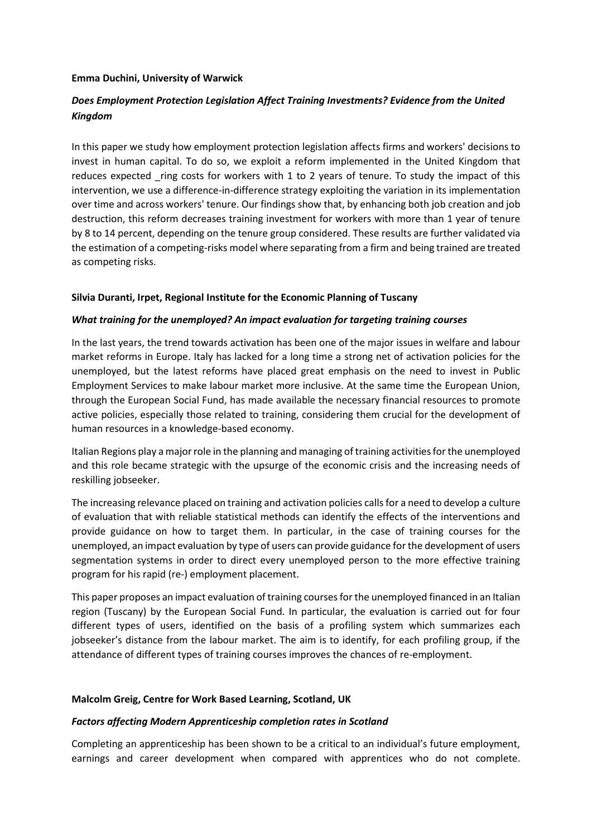### **Emma Duchini, University of Warwick**

## *Does Employment Protection Legislation Affect Training Investments? Evidence from the United Kingdom*

In this paper we study how employment protection legislation affects firms and workers' decisions to invest in human capital. To do so, we exploit a reform implemented in the United Kingdom that reduces expected ring costs for workers with 1 to 2 years of tenure. To study the impact of this intervention, we use a difference-in-difference strategy exploiting the variation in its implementation over time and across workers' tenure. Our findings show that, by enhancing both job creation and job destruction, this reform decreases training investment for workers with more than 1 year of tenure by 8 to 14 percent, depending on the tenure group considered. These results are further validated via the estimation of a competing-risks model where separating from a firm and being trained are treated as competing risks.

## **Silvia Duranti, Irpet, Regional Institute for the Economic Planning of Tuscany**

## *What training for the unemployed? An impact evaluation for targeting training courses*

In the last years, the trend towards activation has been one of the major issues in welfare and labour market reforms in Europe. Italy has lacked for a long time a strong net of activation policies for the unemployed, but the latest reforms have placed great emphasis on the need to invest in Public Employment Services to make labour market more inclusive. At the same time the European Union, through the European Social Fund, has made available the necessary financial resources to promote active policies, especially those related to training, considering them crucial for the development of human resources in a knowledge-based economy.

Italian Regions play a major role in the planning and managing of training activities for the unemployed and this role became strategic with the upsurge of the economic crisis and the increasing needs of reskilling jobseeker.

The increasing relevance placed on training and activation policies calls for a need to develop a culture of evaluation that with reliable statistical methods can identify the effects of the interventions and provide guidance on how to target them. In particular, in the case of training courses for the unemployed, an impact evaluation by type of users can provide guidance for the development of users segmentation systems in order to direct every unemployed person to the more effective training program for his rapid (re-) employment placement.

This paper proposes an impact evaluation of training courses for the unemployed financed in an Italian region (Tuscany) by the European Social Fund. In particular, the evaluation is carried out for four different types of users, identified on the basis of a profiling system which summarizes each jobseeker's distance from the labour market. The aim is to identify, for each profiling group, if the attendance of different types of training courses improves the chances of re-employment.

#### **Malcolm Greig, Centre for Work Based Learning, Scotland, UK**

#### *Factors affecting Modern Apprenticeship completion rates in Scotland*

Completing an apprenticeship has been shown to be a critical to an individual's future employment, earnings and career development when compared with apprentices who do not complete.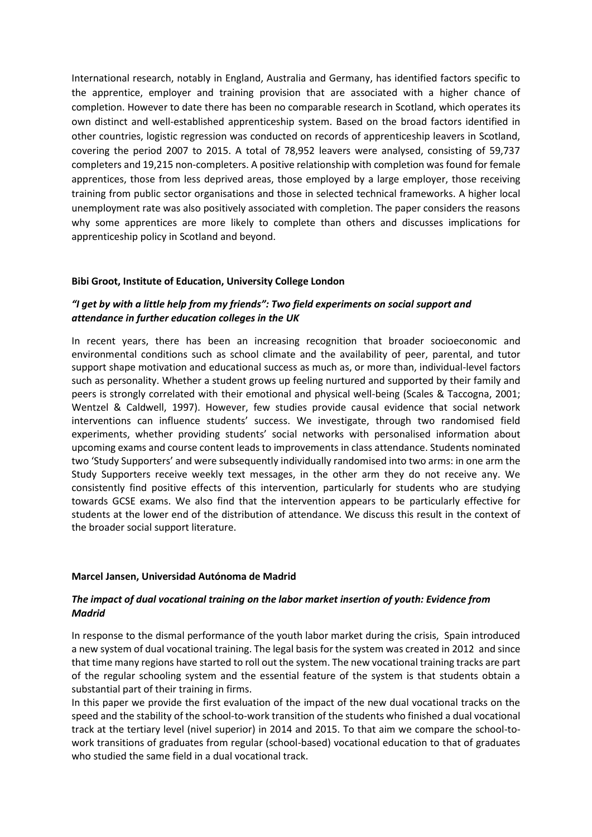International research, notably in England, Australia and Germany, has identified factors specific to the apprentice, employer and training provision that are associated with a higher chance of completion. However to date there has been no comparable research in Scotland, which operates its own distinct and well-established apprenticeship system. Based on the broad factors identified in other countries, logistic regression was conducted on records of apprenticeship leavers in Scotland, covering the period 2007 to 2015. A total of 78,952 leavers were analysed, consisting of 59,737 completers and 19,215 non-completers. A positive relationship with completion was found for female apprentices, those from less deprived areas, those employed by a large employer, those receiving training from public sector organisations and those in selected technical frameworks. A higher local unemployment rate was also positively associated with completion. The paper considers the reasons why some apprentices are more likely to complete than others and discusses implications for apprenticeship policy in Scotland and beyond.

## **Bibi Groot, Institute of Education, University College London**

## *"I get by with a little help from my friends": Two field experiments on social support and attendance in further education colleges in the UK*

In recent years, there has been an increasing recognition that broader socioeconomic and environmental conditions such as school climate and the availability of peer, parental, and tutor support shape motivation and educational success as much as, or more than, individual-level factors such as personality. Whether a student grows up feeling nurtured and supported by their family and peers is strongly correlated with their emotional and physical well-being (Scales & Taccogna, 2001; Wentzel & Caldwell, 1997). However, few studies provide causal evidence that social network interventions can influence students' success. We investigate, through two randomised field experiments, whether providing students' social networks with personalised information about upcoming exams and course content leads to improvements in class attendance. Students nominated two 'Study Supporters' and were subsequently individually randomised into two arms: in one arm the Study Supporters receive weekly text messages, in the other arm they do not receive any. We consistently find positive effects of this intervention, particularly for students who are studying towards GCSE exams. We also find that the intervention appears to be particularly effective for students at the lower end of the distribution of attendance. We discuss this result in the context of the broader social support literature.

#### **Marcel Jansen, Universidad Autónoma de Madrid**

## *The impact of dual vocational training on the labor market insertion of youth: Evidence from Madrid*

In response to the dismal performance of the youth labor market during the crisis, Spain introduced a new system of dual vocational training. The legal basis for the system was created in 2012 and since that time many regions have started to roll out the system. The new vocational training tracks are part of the regular schooling system and the essential feature of the system is that students obtain a substantial part of their training in firms.

In this paper we provide the first evaluation of the impact of the new dual vocational tracks on the speed and the stability of the school-to-work transition of the students who finished a dual vocational track at the tertiary level (nivel superior) in 2014 and 2015. To that aim we compare the school-towork transitions of graduates from regular (school-based) vocational education to that of graduates who studied the same field in a dual vocational track.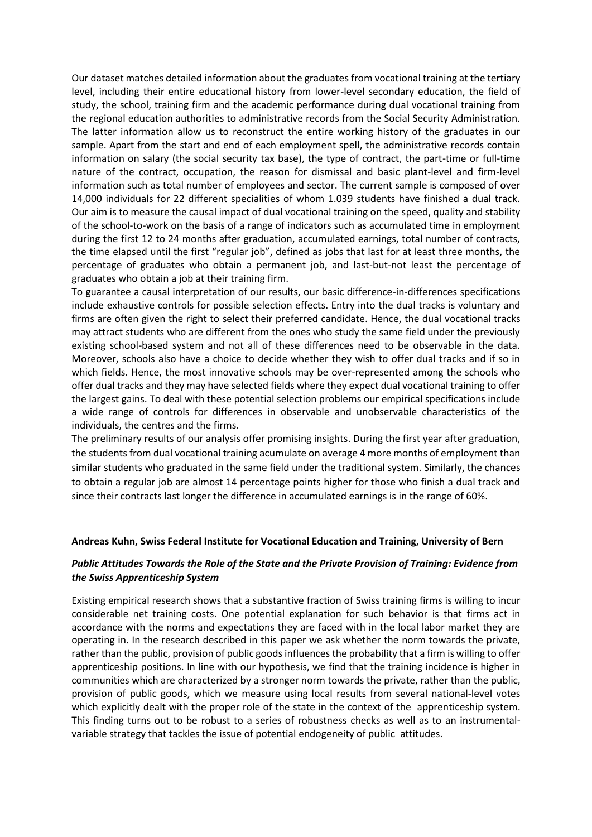Our dataset matches detailed information about the graduates from vocational training at the tertiary level, including their entire educational history from lower-level secondary education, the field of study, the school, training firm and the academic performance during dual vocational training from the regional education authorities to administrative records from the Social Security Administration. The latter information allow us to reconstruct the entire working history of the graduates in our sample. Apart from the start and end of each employment spell, the administrative records contain information on salary (the social security tax base), the type of contract, the part-time or full-time nature of the contract, occupation, the reason for dismissal and basic plant-level and firm-level information such as total number of employees and sector. The current sample is composed of over 14,000 individuals for 22 different specialities of whom 1.039 students have finished a dual track. Our aim is to measure the causal impact of dual vocational training on the speed, quality and stability of the school-to-work on the basis of a range of indicators such as accumulated time in employment during the first 12 to 24 months after graduation, accumulated earnings, total number of contracts, the time elapsed until the first "regular job", defined as jobs that last for at least three months, the percentage of graduates who obtain a permanent job, and last-but-not least the percentage of graduates who obtain a job at their training firm.

To guarantee a causal interpretation of our results, our basic difference-in-differences specifications include exhaustive controls for possible selection effects. Entry into the dual tracks is voluntary and firms are often given the right to select their preferred candidate. Hence, the dual vocational tracks may attract students who are different from the ones who study the same field under the previously existing school-based system and not all of these differences need to be observable in the data. Moreover, schools also have a choice to decide whether they wish to offer dual tracks and if so in which fields. Hence, the most innovative schools may be over-represented among the schools who offer dual tracks and they may have selected fields where they expect dual vocational training to offer the largest gains. To deal with these potential selection problems our empirical specifications include a wide range of controls for differences in observable and unobservable characteristics of the individuals, the centres and the firms.

The preliminary results of our analysis offer promising insights. During the first year after graduation, the students from dual vocational training acumulate on average 4 more months of employment than similar students who graduated in the same field under the traditional system. Similarly, the chances to obtain a regular job are almost 14 percentage points higher for those who finish a dual track and since their contracts last longer the difference in accumulated earnings is in the range of 60%.

#### **Andreas Kuhn, Swiss Federal Institute for Vocational Education and Training, University of Bern**

## *Public Attitudes Towards the Role of the State and the Private Provision of Training: Evidence from the Swiss Apprenticeship System*

Existing empirical research shows that a substantive fraction of Swiss training firms is willing to incur considerable net training costs. One potential explanation for such behavior is that firms act in accordance with the norms and expectations they are faced with in the local labor market they are operating in. In the research described in this paper we ask whether the norm towards the private, rather than the public, provision of public goods influences the probability that a firm is willing to offer apprenticeship positions. In line with our hypothesis, we find that the training incidence is higher in communities which are characterized by a stronger norm towards the private, rather than the public, provision of public goods, which we measure using local results from several national-level votes which explicitly dealt with the proper role of the state in the context of the apprenticeship system. This finding turns out to be robust to a series of robustness checks as well as to an instrumentalvariable strategy that tackles the issue of potential endogeneity of public attitudes.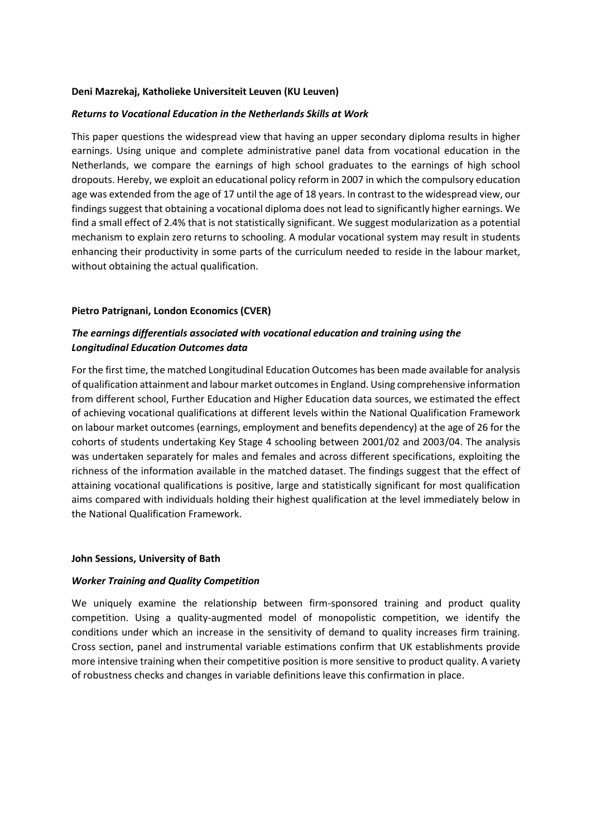#### **Deni Mazrekaj, Katholieke Universiteit Leuven (KU Leuven)**

#### *Returns to Vocational Education in the Netherlands Skills at Work*

This paper questions the widespread view that having an upper secondary diploma results in higher earnings. Using unique and complete administrative panel data from vocational education in the Netherlands, we compare the earnings of high school graduates to the earnings of high school dropouts. Hereby, we exploit an educational policy reform in 2007 in which the compulsory education age was extended from the age of 17 until the age of 18 years. In contrast to the widespread view, our findings suggest that obtaining a vocational diploma does not lead to significantly higher earnings. We find a small effect of 2.4% that is not statistically significant. We suggest modularization as a potential mechanism to explain zero returns to schooling. A modular vocational system may result in students enhancing their productivity in some parts of the curriculum needed to reside in the labour market, without obtaining the actual qualification.

#### **Pietro Patrignani, London Economics (CVER)**

## *The earnings differentials associated with vocational education and training using the Longitudinal Education Outcomes data*

For the first time, the matched Longitudinal Education Outcomes has been made available for analysis of qualification attainment and labour market outcomes in England. Using comprehensive information from different school, Further Education and Higher Education data sources, we estimated the effect of achieving vocational qualifications at different levels within the National Qualification Framework on labour market outcomes (earnings, employment and benefits dependency) at the age of 26 for the cohorts of students undertaking Key Stage 4 schooling between 2001/02 and 2003/04. The analysis was undertaken separately for males and females and across different specifications, exploiting the richness of the information available in the matched dataset. The findings suggest that the effect of attaining vocational qualifications is positive, large and statistically significant for most qualification aims compared with individuals holding their highest qualification at the level immediately below in the National Qualification Framework.

#### **John Sessions, University of Bath**

#### *Worker Training and Quality Competition*

We uniquely examine the relationship between firm-sponsored training and product quality competition. Using a quality-augmented model of monopolistic competition, we identify the conditions under which an increase in the sensitivity of demand to quality increases firm training. Cross section, panel and instrumental variable estimations confirm that UK establishments provide more intensive training when their competitive position is more sensitive to product quality. A variety of robustness checks and changes in variable definitions leave this confirmation in place.